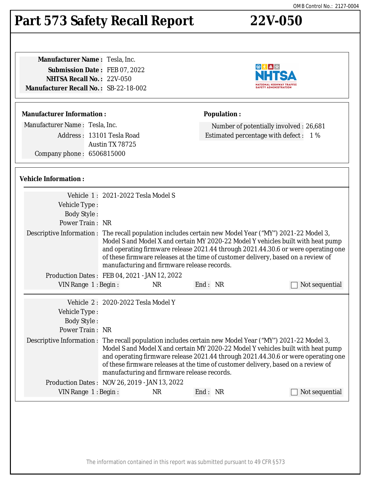## **Part 573 Safety Recall Report 22V-050**

**Manufacturer Name :** Tesla, Inc. **Submission Date :** FEB 07, 2022 **NHTSA Recall No. :** 22V-050 **Manufacturer Recall No. :** SB-22-18-002

#### **Manufacturer Information :**

Manufacturer Name : Tesla, Inc. Address : 13101 Tesla Road Austin TX 78725 Company phone : 6506815000

#### **Vehicle Information :**

|                                                        | Vehicle 1: 2021-2022 Tesla Model S          |           |         |                                                                                                                                                                                                                                                                                                                                                                       |
|--------------------------------------------------------|---------------------------------------------|-----------|---------|-----------------------------------------------------------------------------------------------------------------------------------------------------------------------------------------------------------------------------------------------------------------------------------------------------------------------------------------------------------------------|
| Vehicle Type:                                          |                                             |           |         |                                                                                                                                                                                                                                                                                                                                                                       |
| <b>Body Style:</b>                                     |                                             |           |         |                                                                                                                                                                                                                                                                                                                                                                       |
| Power Train: NR                                        |                                             |           |         |                                                                                                                                                                                                                                                                                                                                                                       |
|                                                        | manufacturing and firmware release records. |           |         | Descriptive Information : The recall population includes certain new Model Year ("MY") 2021-22 Model 3,<br>Model S and Model X and certain MY 2020-22 Model Y vehicles built with heat pump<br>and operating firmware release 2021.44 through 2021.44.30.6 or were operating one<br>of these firmware releases at the time of customer delivery, based on a review of |
| Production Dates: FEB 04, 2021 - JAN 12, 2022          |                                             |           |         |                                                                                                                                                                                                                                                                                                                                                                       |
| VIN Range 1: Begin:                                    |                                             | <b>NR</b> | End: NR | Not sequential                                                                                                                                                                                                                                                                                                                                                        |
| Vehicle Type:<br><b>Body Style:</b><br>Power Train: NR | Vehicle 2: 2020-2022 Tesla Model Y          |           |         | Descriptive Information : The recall population includes certain new Model Year ("MY") 2021-22 Model 3,                                                                                                                                                                                                                                                               |
|                                                        | manufacturing and firmware release records. |           |         | Model S and Model X and certain MY 2020-22 Model Y vehicles built with heat pump<br>and operating firmware release 2021.44 through 2021.44.30.6 or were operating one<br>of these firmware releases at the time of customer delivery, based on a review of                                                                                                            |
| Production Dates: NOV 26, 2019 - JAN 13, 2022          |                                             |           |         |                                                                                                                                                                                                                                                                                                                                                                       |
| VIN Range 1: Begin:                                    |                                             | NR.       | End: NR | Not sequential                                                                                                                                                                                                                                                                                                                                                        |
|                                                        |                                             |           |         |                                                                                                                                                                                                                                                                                                                                                                       |



Number of potentially involved : 26,681 Estimated percentage with defect : 1 %

**Population :**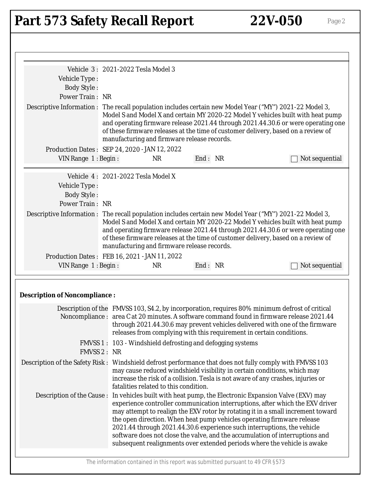# Part 573 Safety Recall Report 22V-050 Page 2

|                                                                                                          | Vehicle 3: 2021-2022 Tesla Model 3            |                                                                                                                                                   |                                                                                                                                                                                                                                                                                                                                |
|----------------------------------------------------------------------------------------------------------|-----------------------------------------------|---------------------------------------------------------------------------------------------------------------------------------------------------|--------------------------------------------------------------------------------------------------------------------------------------------------------------------------------------------------------------------------------------------------------------------------------------------------------------------------------|
| Vehicle Type:                                                                                            |                                               |                                                                                                                                                   |                                                                                                                                                                                                                                                                                                                                |
| <b>Body Style:</b><br>Power Train: NR                                                                    |                                               |                                                                                                                                                   |                                                                                                                                                                                                                                                                                                                                |
|                                                                                                          |                                               |                                                                                                                                                   |                                                                                                                                                                                                                                                                                                                                |
| Descriptive Information : The recall population includes certain new Model Year ("MY") 2021-22 Model 3,  | manufacturing and firmware release records.   |                                                                                                                                                   | Model S and Model X and certain MY 2020-22 Model Y vehicles built with heat pump<br>and operating firmware release 2021.44 through 2021.44.30.6 or were operating one<br>of these firmware releases at the time of customer delivery, based on a review of                                                                     |
|                                                                                                          | Production Dates: SEP 24, 2020 - JAN 12, 2022 |                                                                                                                                                   |                                                                                                                                                                                                                                                                                                                                |
| VIN Range 1: Begin:                                                                                      | <b>NR</b>                                     | End: NR                                                                                                                                           | Not sequential                                                                                                                                                                                                                                                                                                                 |
|                                                                                                          | Vehicle 4: 2021-2022 Tesla Model X            |                                                                                                                                                   |                                                                                                                                                                                                                                                                                                                                |
| Vehicle Type:                                                                                            |                                               |                                                                                                                                                   |                                                                                                                                                                                                                                                                                                                                |
| <b>Body Style:</b>                                                                                       |                                               |                                                                                                                                                   |                                                                                                                                                                                                                                                                                                                                |
| Power Train: NR                                                                                          |                                               |                                                                                                                                                   |                                                                                                                                                                                                                                                                                                                                |
| Descriptive Information : The recall population includes certain new Model Year ("MY") 2021-22 Model 3,  | manufacturing and firmware release records.   |                                                                                                                                                   | Model S and Model X and certain MY 2020-22 Model Y vehicles built with heat pump<br>and operating firmware release 2021.44 through 2021.44.30.6 or were operating one<br>of these firmware releases at the time of customer delivery, based on a review of                                                                     |
|                                                                                                          | Production Dates: FEB 16, 2021 - JAN 11, 2022 |                                                                                                                                                   |                                                                                                                                                                                                                                                                                                                                |
| VIN Range 1: Begin:                                                                                      | <b>NR</b>                                     | End: NR                                                                                                                                           | Not sequential                                                                                                                                                                                                                                                                                                                 |
| <b>Description of Noncompliance:</b>                                                                     |                                               |                                                                                                                                                   |                                                                                                                                                                                                                                                                                                                                |
|                                                                                                          |                                               |                                                                                                                                                   |                                                                                                                                                                                                                                                                                                                                |
|                                                                                                          |                                               | releases from complying with this requirement in certain conditions.                                                                              | Description of the FMVSS 103, S4.2, by incorporation, requires 80% minimum defrost of critical<br>Noncompliance : area C at 20 minutes. A software command found in firmware release 2021.44<br>through 2021.44.30.6 may prevent vehicles delivered with one of the firmware                                                   |
|                                                                                                          |                                               | FMVSS 1: 103 - Windshield defrosting and defogging systems                                                                                        |                                                                                                                                                                                                                                                                                                                                |
| FMVSS 2 : NR                                                                                             |                                               |                                                                                                                                                   |                                                                                                                                                                                                                                                                                                                                |
| Description of the Safety Risk: Windshield defrost performance that does not fully comply with FMVSS 103 | fatalities related to this condition.         | may cause reduced windshield visibility in certain conditions, which may                                                                          | increase the risk of a collision. Tesla is not aware of any crashes, injuries or                                                                                                                                                                                                                                               |
| Description of the Cause:                                                                                |                                               | the open direction. When heat pump vehicles operating firmware release<br>2021.44 through 2021.44.30.6 experience such interruptions, the vehicle | In vehicles built with heat pump, the Electronic Expansion Valve (EXV) may<br>experience controller communication interruptions, after which the EXV driver<br>may attempt to realign the EXV rotor by rotating it in a small increment toward<br>software does not close the valve, and the accumulation of interruptions and |
|                                                                                                          |                                               | The information contained in this report was submitted pursuant to 49 CFR §573                                                                    | subsequent realignments over extended periods where the vehicle is awake                                                                                                                                                                                                                                                       |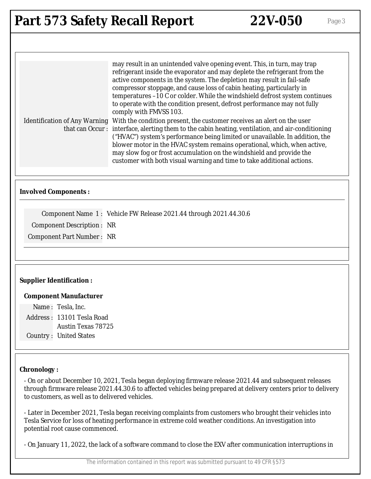| <b>Part 573 Safety Recall Report</b> |  |  |  |
|--------------------------------------|--|--|--|
|--------------------------------------|--|--|--|

| may result in an unintended valve opening event. This, in turn, may trap<br>refrigerant inside the evaporator and may deplete the refrigerant from the<br>active components in the system. The depletion may result in fail-safe<br>compressor stoppage, and cause loss of cabin heating, particularly in<br>temperatures -10 C or colder. While the windshield defrost system continues<br>to operate with the condition present, defrost performance may not fully<br>comply with FMVSS 103.                         |
|------------------------------------------------------------------------------------------------------------------------------------------------------------------------------------------------------------------------------------------------------------------------------------------------------------------------------------------------------------------------------------------------------------------------------------------------------------------------------------------------------------------------|
| Identification of Any Warning With the condition present, the customer receives an alert on the user<br>that can Occur: interface, alerting them to the cabin heating, ventilation, and air-conditioning<br>("HVAC") system's performance being limited or unavailable. In addition, the<br>blower motor in the HVAC system remains operational, which, when active,<br>may slow fog or frost accumulation on the windshield and provide the<br>customer with both visual warning and time to take additional actions. |

### **Involved Components :**

Component Name 1 : Vehicle FW Release 2021.44 through 2021.44.30.6 Component Description : NR

Component Part Number : NR

#### **Supplier Identification :**

#### **Component Manufacturer**

Name : Tesla, Inc. Address : 13101 Tesla Road Austin Texas 78725 Country : United States

#### **Chronology :**

- On or about December 10, 2021, Tesla began deploying firmware release 2021.44 and subsequent releases through firmware release 2021.44.30.6 to affected vehicles being prepared at delivery centers prior to delivery to customers, as well as to delivered vehicles.

- Later in December 2021, Tesla began receiving complaints from customers who brought their vehicles into Tesla Service for loss of heating performance in extreme cold weather conditions. An investigation into potential root cause commenced.

- On January 11, 2022, the lack of a software command to close the EXV after communication interruptions in

The information contained in this report was submitted pursuant to 49 CFR §573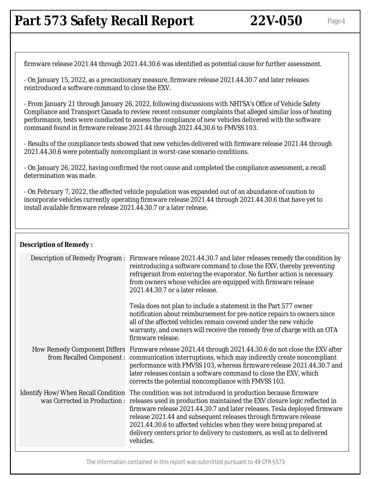### **Part 573 Safety Recall Report 22V-050** Page 4

firmware release 2021.44 through 2021.44.30.6 was identified as potential cause for further assessment.

- On January 15, 2022, as a precautionary measure, firmware release 2021.44.30.7 and later releases reintroduced a software command to close the EXV.

- From January 21 through January 26, 2022, following discussions with NHTSA's Office of Vehicle Safety Compliance and Transport Canada to review recent consumer complaints that alleged similar loss of heating performance, tests were conducted to assess the compliance of new vehicles delivered with the software command found in firmware release 2021.44 through 2021.44.30.6 to FMVSS 103.

- Results of the compliance tests showed that new vehicles delivered with firmware release 2021.44 through 2021.44.30.6 were potentially noncompliant in worst-case scenario conditions.

- On January 26, 2022, having confirmed the root cause and completed the compliance assessment, a recall determination was made.

- On February 7, 2022, the affected vehicle population was expanded out of an abundance of caution to incorporate vehicles currently operating firmware release 2021.44 through 2021.44.30.6 that have yet to install available firmware release 2021.44.30.7 or a later release.

#### **Description of Remedy :**

| <b>Description of Remedy Program:</b> |  | Firmware release 2021.44.30.7 and later releases remedy the condition by<br>reintroducing a software command to close the EXV, thereby preventing<br>refrigerant from entering the evaporator. No further action is necessary<br>from owners whose vehicles are equipped with firmware release<br>2021.44.30.7 or a later release.                                                                                                                                                                                            |
|---------------------------------------|--|-------------------------------------------------------------------------------------------------------------------------------------------------------------------------------------------------------------------------------------------------------------------------------------------------------------------------------------------------------------------------------------------------------------------------------------------------------------------------------------------------------------------------------|
|                                       |  | Tesla does not plan to include a statement in the Part 577 owner<br>notification about reimbursement for pre-notice repairs to owners since<br>all of the affected vehicles remain covered under the new vehicle<br>warranty, and owners will receive the remedy free of charge with an OTA<br>firmware release.                                                                                                                                                                                                              |
|                                       |  | How Remedy Component Differs Firmware release 2021.44 through 2021.44.30.6 do not close the EXV after<br>from Recalled Component : communication interruptions, which may indirectly create noncompliant<br>performance with FMVSS 103, whereas firmware release 2021.44.30.7 and<br>later releases contain a software command to close the EXV, which<br>corrects the potential noncompliance with FMVSS 103.                                                                                                                |
|                                       |  | Identify How/When Recall Condition The condition was not introduced in production because firmware<br>was Corrected in Production : releases used in production maintained the EXV closure logic reflected in<br>firmware release 2021.44.30.7 and later releases. Tesla deployed firmware<br>release 2021.44 and subsequent releases through firmware release<br>2021.44.30.6 to affected vehicles when they were being prepared at<br>delivery centers prior to delivery to customers, as well as to delivered<br>vehicles. |
|                                       |  |                                                                                                                                                                                                                                                                                                                                                                                                                                                                                                                               |

The information contained in this report was submitted pursuant to 49 CFR §573